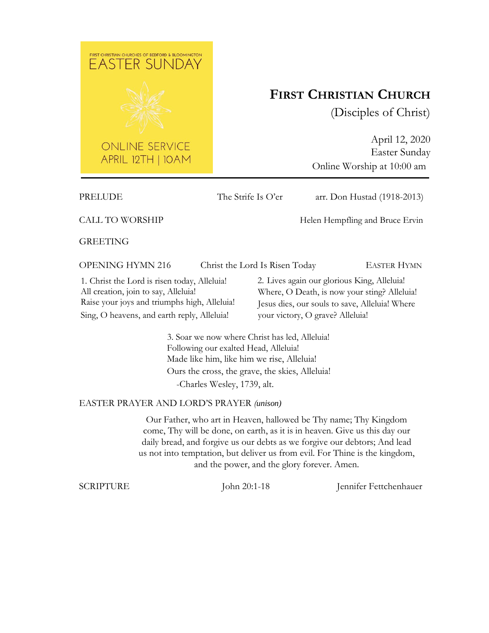

# **FIRST CHRISTIAN CHURCH**

(Disciples of Christ)

April 12, 2020 Easter Sunday Online Worship at 10:00 am

PRELUDE The Strife Is O'er arr. Don Hustad (1918-2013)

CALL TO WORSHIP Helen Hempfling and Bruce Ervin

GREETING

OPENING HYMN 216 Christ the Lord Is Risen Today EASTER HYMN

1. Christ the Lord is risen today, Alleluia! All creation, join to say, Alleluia! Raise your joys and triumphs high, Alleluia! Sing, O heavens, and earth reply, Alleluia!

2. Lives again our glorious King, Alleluia! Where, O Death, is now your sting? Alleluia! Jesus dies, our souls to save, Alleluia! Where your victory, O grave? Alleluia!

3. Soar we now where Christ has led, Alleluia! Following our exalted Head, Alleluia! Made like him, like him we rise, Alleluia! Ours the cross, the grave, the skies, Alleluia! -Charles Wesley, 1739, alt.

# EASTER PRAYER AND LORD'S PRAYER *(unison)*

Our Father, who art in Heaven, hallowed be Thy name; Thy Kingdom come, Thy will be done, on earth, as it is in heaven. Give us this day our daily bread, and forgive us our debts as we forgive our debtors; And lead us not into temptation, but deliver us from evil. For Thine is the kingdom, and the power, and the glory forever. Amen.

SCRIPTURE John 20:1-18 Jennifer Fettchenhauer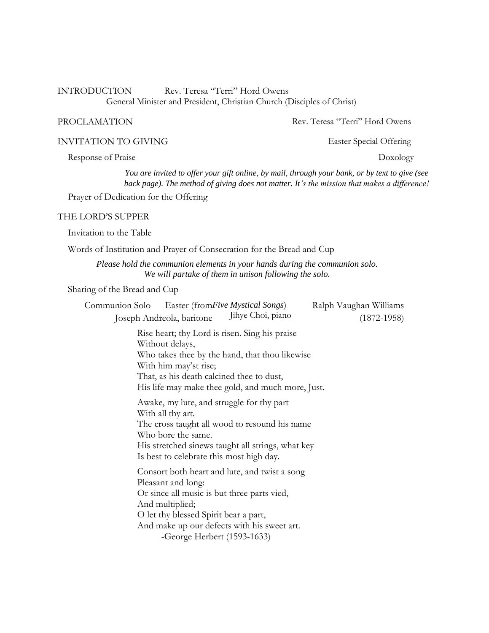INTRODUCTION Rev. Teresa "Terri" Hord Owens General Minister and President, Christian Church (Disciples of Christ)

PROCLAMATION Rev. Teresa "Terri" Hord Owens

INVITATION TO GIVING Easter Special Offering

Response of Praise Doxology

*You are invited to offer your gift online, by mail, through your bank, or by text to give (see back page). The method of giving does not matter. It's the mission that makes a difference!*

Prayer of Dedication for the Offering

#### THE LORD'S SUPPER

Invitation to the Table

Words of Institution and Prayer of Consecration for the Bread and Cup

*Please hold the communion elements in your hands during the communion solo. We will partake of them in unison following the solo.*

Sharing of the Bread and Cup

| Easter (from Five Mystical Songs)<br>Communion Solo                                                                                                                                                                                                          | Ralph Vaughan Williams |
|--------------------------------------------------------------------------------------------------------------------------------------------------------------------------------------------------------------------------------------------------------------|------------------------|
| Jihye Choi, piano<br>Joseph Andreola, baritone                                                                                                                                                                                                               | $(1872 - 1958)$        |
| Rise heart; thy Lord is risen. Sing his praise<br>Without delays,<br>Who takes thee by the hand, that thou likewise<br>With him may'st rise;<br>That, as his death calcined thee to dust,<br>His life may make thee gold, and much more, Just.               |                        |
| Awake, my lute, and struggle for thy part<br>With all thy art.<br>The cross taught all wood to resound his name<br>Who bore the same.<br>His stretched sinews taught all strings, what key<br>Is best to celebrate this most high day.                       |                        |
| Consort both heart and lute, and twist a song<br>Pleasant and long:<br>Or since all music is but three parts vied,<br>And multiplied;<br>O let thy blessed Spirit bear a part,<br>And make up our defects with his sweet art.<br>-George Herbert (1593-1633) |                        |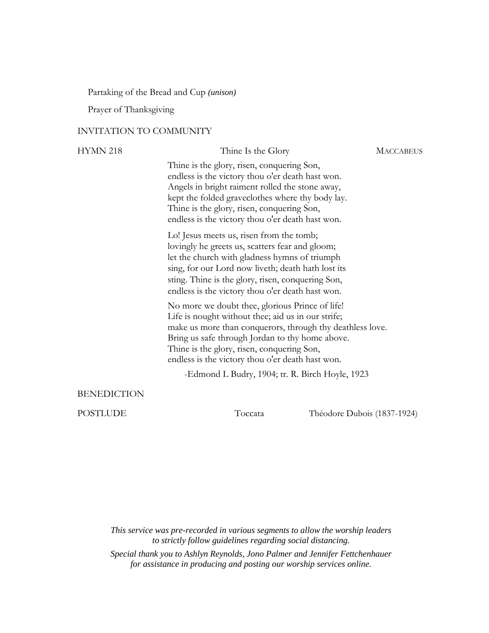Partaking of the Bread and Cup *(unison)*

Prayer of Thanksgiving

#### INVITATION TO COMMUNITY

| <b>HYMN 218</b>    | Thine Is the Glory                                                                                                                                                                                                                                                                                                      | <b>MACCABEUS</b>            |
|--------------------|-------------------------------------------------------------------------------------------------------------------------------------------------------------------------------------------------------------------------------------------------------------------------------------------------------------------------|-----------------------------|
|                    | Thine is the glory, risen, conquering Son,<br>endless is the victory thou o'er death hast won.<br>Angels in bright raiment rolled the stone away,<br>kept the folded graveclothes where thy body lay.<br>Thine is the glory, risen, conquering Son,<br>endless is the victory thou o'er death hast won.                 |                             |
|                    | Lo! Jesus meets us, risen from the tomb;<br>lovingly he greets us, scatters fear and gloom;<br>let the church with gladness hymns of triumph<br>sing, for our Lord now liveth; death hath lost its<br>sting. Thine is the glory, risen, conquering Son,<br>endless is the victory thou o'er death hast won.             |                             |
|                    | No more we doubt thee, glorious Prince of life!<br>Life is nought without thee; aid us in our strife;<br>make us more than conquerors, through thy deathless love.<br>Bring us safe through Jordan to thy home above.<br>Thine is the glory, risen, conquering Son,<br>endless is the victory thou o'er death hast won. |                             |
|                    | -Edmond L Budry, 1904; tr. R. Birch Hoyle, 1923                                                                                                                                                                                                                                                                         |                             |
| <b>BENEDICTION</b> |                                                                                                                                                                                                                                                                                                                         |                             |
| <b>POSTLUDE</b>    | Toccata                                                                                                                                                                                                                                                                                                                 | Théodore Dubois (1837-1924) |

*This service was pre-recorded in various segments to allow the worship leaders to strictly follow guidelines regarding social distancing.*

*Special thank you to Ashlyn Reynolds, Jono Palmer and Jennifer Fettchenhauer for assistance in producing and posting our worship services online.*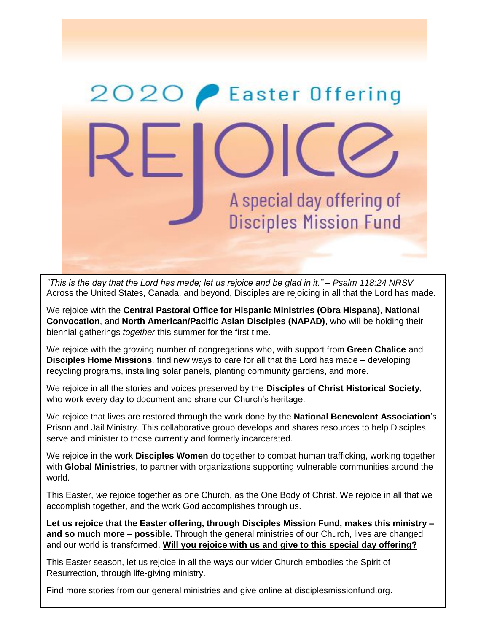

*"This is the day that the Lord has made; let us rejoice and be glad in it." – Psalm 118:24 NRSV* Across the United States, Canada, and beyond, Disciples are rejoicing in all that the Lord has made.

We rejoice with the **Central Pastoral Office for Hispanic Ministries (Obra Hispana)**, **National Convocation**, and **North American/Pacific Asian Disciples (NAPAD)**, who will be holding their biennial gatherings *together* this summer for the first time.

We rejoice with the growing number of congregations who, with support from **Green Chalice** and **Disciples Home Missions**, find new ways to care for all that the Lord has made – developing recycling programs, installing solar panels, planting community gardens, and more.

We rejoice in all the stories and voices preserved by the **Disciples of Christ Historical Society**, who work every day to document and share our Church's heritage.

We rejoice that lives are restored through the work done by the **National Benevolent Association**'s Prison and Jail Ministry. This collaborative group develops and shares resources to help Disciples serve and minister to those currently and formerly incarcerated.

We rejoice in the work **Disciples Women** do together to combat human trafficking, working together with **Global Ministries**, to partner with organizations supporting vulnerable communities around the world.

This Easter, *we* rejoice together as one Church, as the One Body of Christ. We rejoice in all that we accomplish together, and the work God accomplishes through us.

**Let us rejoice that the Easter offering, through Disciples Mission Fund, makes this ministry – and so much more – possible.** Through the general ministries of our Church, lives are changed and our world is transformed. **Will you rejoice with us and give to this special day offering?**

This Easter season, let us rejoice in all the ways our wider Church embodies the Spirit of Resurrection, through life-giving ministry.

Find more stories from our general ministries and give online at disciplesmissionfund.org.